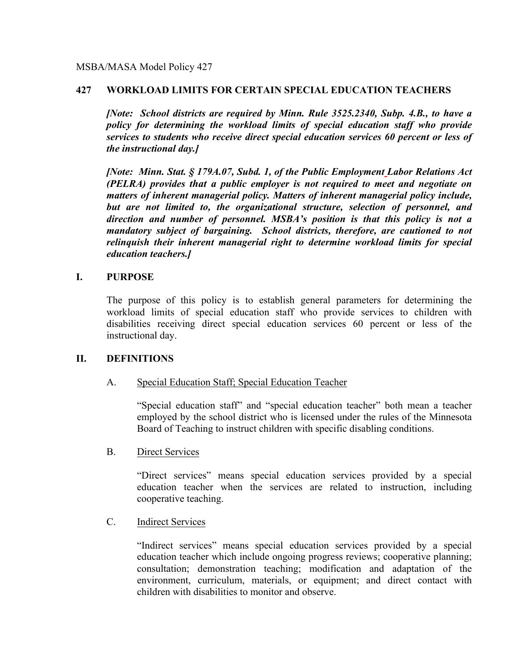## **427 WORKLOAD LIMITS FOR CERTAIN SPECIAL EDUCATION TEACHERS**

*[Note: School districts are required by Minn. Rule 3525.2340, Subp. 4.B., to have a policy for determining the workload limits of special education staff who provide services to students who receive direct special education services 60 percent or less of the instructional day.]* 

*[Note: Minn. Stat. § 179A.07, Subd. 1, of the Public Employment Labor Relations Act (PELRA) provides that a public employer is not required to meet and negotiate on matters of inherent managerial policy. Matters of inherent managerial policy include, but are not limited to, the organizational structure, selection of personnel, and direction and number of personnel. MSBA's position is that this policy is not a mandatory subject of bargaining. School districts, therefore, are cautioned to not relinquish their inherent managerial right to determine workload limits for special education teachers.]*

## **I. PURPOSE**

The purpose of this policy is to establish general parameters for determining the workload limits of special education staff who provide services to children with disabilities receiving direct special education services 60 percent or less of the instructional day.

## **II. DEFINITIONS**

## A. Special Education Staff; Special Education Teacher

"Special education staff" and "special education teacher" both mean a teacher employed by the school district who is licensed under the rules of the Minnesota Board of Teaching to instruct children with specific disabling conditions.

#### B. Direct Services

"Direct services" means special education services provided by a special education teacher when the services are related to instruction, including cooperative teaching.

## C. Indirect Services

"Indirect services" means special education services provided by a special education teacher which include ongoing progress reviews; cooperative planning; consultation; demonstration teaching; modification and adaptation of the environment, curriculum, materials, or equipment; and direct contact with children with disabilities to monitor and observe.